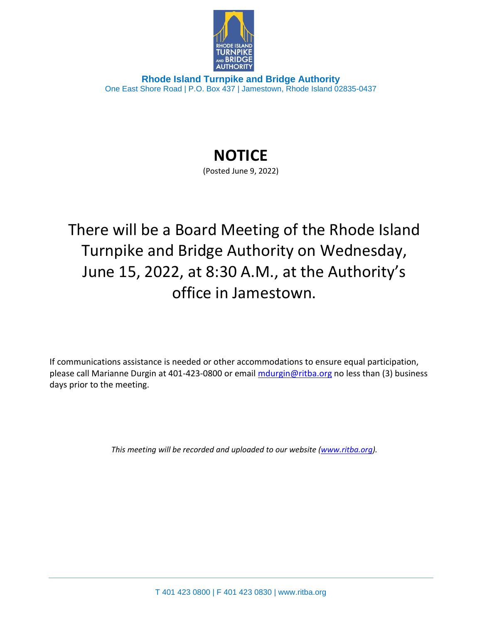

**Rhode Island Turnpike and Bridge Authority** One East Shore Road | P.O. Box 437 | Jamestown, Rhode Island 02835-0437

## **NOTICE**

(Posted June 9, 2022)

There will be a Board Meeting of the Rhode Island Turnpike and Bridge Authority on Wednesday, June 15, 2022, at 8:30 A.M., at the Authority's office in Jamestown.

If communications assistance is needed or other accommodations to ensure equal participation, please call Marianne Durgin at 401-423-0800 or email [mdurgin@ritba.org](mailto:mdurgin@ritba.org) no less than (3) business days prior to the meeting.

*This meeting will be recorded and uploaded to our website [\(www.ritba.org\)](http://www.ritba.org/).*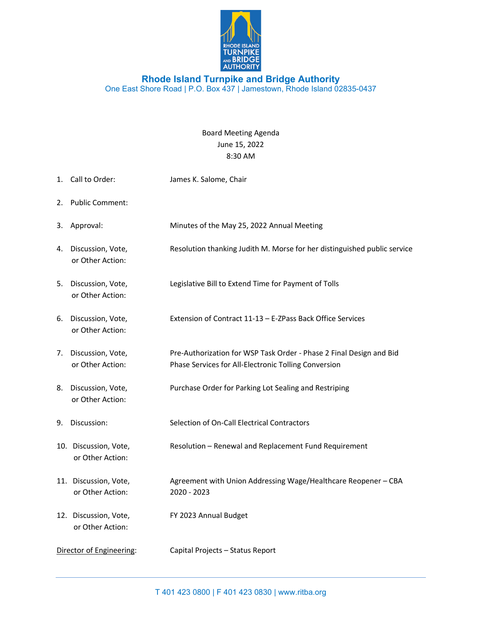

## **Rhode Island Turnpike and Bridge Authority** One East Shore Road | P.O. Box 437 | Jamestown, Rhode Island 02835-0437

Board Meeting Agenda June 15, 2022 8:30 AM

1. Call to Order: James K. Salome, Chair 2. Public Comment: 3. Approval: Minutes of the May 25, 2022 Annual Meeting 4. Discussion, Vote, Resolution thanking Judith M. Morse for her distinguished public service or Other Action: 5. Discussion, Vote, Legislative Bill to Extend Time for Payment of Tolls or Other Action: 6. Discussion, Vote, Extension of Contract 11-13 – E-ZPass Back Office Services or Other Action: 7. Discussion, Vote, Pre-Authorization for WSP Task Order - Phase 2 Final Design and Bid or Other Action: Phase Services for All-Electronic Tolling Conversion 8. Discussion, Vote, Purchase Order for Parking Lot Sealing and Restriping or Other Action: 9. Discussion: Selection of On-Call Electrical Contractors 10. Discussion, Vote, Resolution – Renewal and Replacement Fund Requirement or Other Action: 11. Discussion, Vote, Agreement with Union Addressing Wage/Healthcare Reopener – CBA or Other Action: 2020 - 2023 12. Discussion, Vote, FY 2023 Annual Budget or Other Action: Director of Engineering: Capital Projects – Status Report